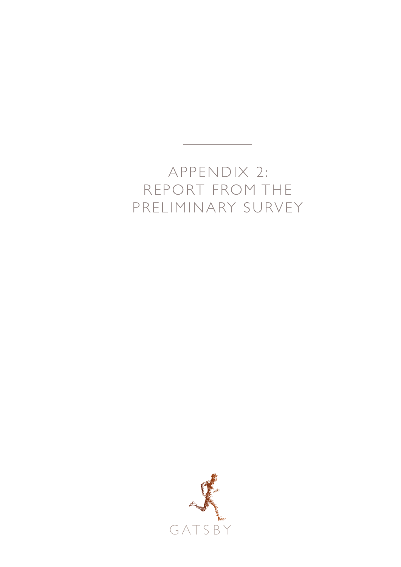## APPENDIX 2: REPORT FROM THE PRELIMINARY SURVEY

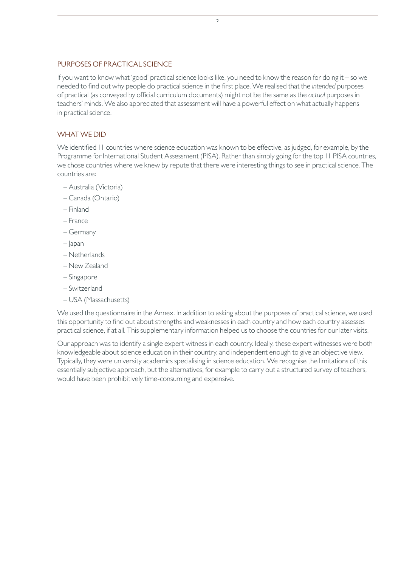## PURPOSES OF PRACTICAL SCIENCE

If you want to know what 'good' practical science looks like, you need to know the reason for doing it – so we needed to find out why people do practical science in the first place. We realised that the *intended* purposes of practical (as conveyed by official curriculum documents) might not be the same as the *actual* purposes in teachers' minds. We also appreciated that assessment will have a powerful effect on what actually happens in practical science.

## WHAT WE DID

We identified 11 countries where science education was known to be effective, as judged, for example, by the Programme for International Student Assessment (PISA). Rather than simply going for the top 11 PISA countries, we chose countries where we knew by repute that there were interesting things to see in practical science. The countries are:

- Australia (Victoria)
- Canada (Ontario)
- Finland
- France
- Germany
- Japan
- Netherlands
- New Zealand
- Singapore
- Switzerland
- USA (Massachusetts)

We used the questionnaire in the Annex. In addition to asking about the purposes of practical science, we used this opportunity to find out about strengths and weaknesses in each country and how each country assesses practical science, if at all. This supplementary information helped us to choose the countries for our later visits.

Our approach was to identify a single expert witness in each country. Ideally, these expert witnesses were both knowledgeable about science education in their country, and independent enough to give an objective view. Typically, they were university academics specialising in science education. We recognise the limitations of this essentially subjective approach, but the alternatives, for example to carry out a structured survey of teachers, would have been prohibitively time-consuming and expensive.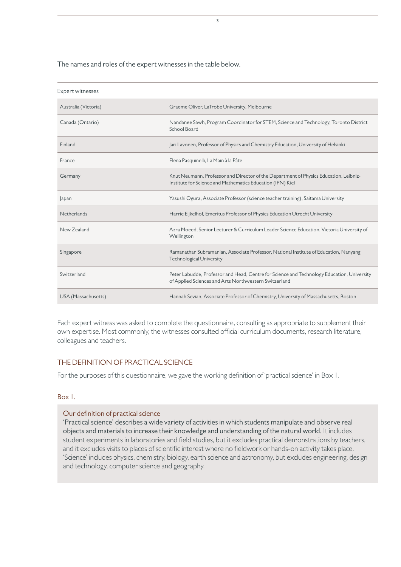The names and roles of the expert witnesses in the table below.

| <b>Expert witnesses</b> |                                                                                                                                                     |  |  |
|-------------------------|-----------------------------------------------------------------------------------------------------------------------------------------------------|--|--|
| Australia (Victoria)    | Graeme Oliver, LaTrobe University, Melbourne                                                                                                        |  |  |
| Canada (Ontario)        | Nandanee Sawh, Program Coordinator for STEM, Science and Technology, Toronto District<br>School Board                                               |  |  |
| Finland                 | Jari Lavonen, Professor of Physics and Chemistry Education, University of Helsinki                                                                  |  |  |
| France                  | Elena Pasquinelli, La Main à la Pâte                                                                                                                |  |  |
| Germany                 | Knut Neumann, Professor and Director of the Department of Physics Education, Leibniz-<br>Institute for Science and Mathematics Education (IPN) Kiel |  |  |
| Japan                   | Yasushi Ogura, Associate Professor (science teacher training), Saitama University                                                                   |  |  |
| <b>Netherlands</b>      | Harrie Eijkelhof, Emeritus Professor of Physics Education Utrecht University                                                                        |  |  |
| New Zealand             | Azra Moeed, Senior Lecturer & Curriculum Leader Science Education, Victoria University of<br>Wellington                                             |  |  |
| Singapore               | Ramanathan Subramanian, Associate Professor, National Institute of Education, Nanyang<br><b>Technological University</b>                            |  |  |
| Switzerland             | Peter Labudde, Professor and Head, Centre for Science and Technology Education, University<br>of Applied Sciences and Arts Northwestern Switzerland |  |  |
| USA (Massachusetts)     | Hannah Sevian, Associate Professor of Chemistry, University of Massachusetts, Boston                                                                |  |  |

Each expert witness was asked to complete the questionnaire, consulting as appropriate to supplement their own expertise. Most commonly, the witnesses consulted official curriculum documents, research literature, colleagues and teachers.

## THE DEFINITION OF PRACTICAL SCIENCE

For the purposes of this questionnaire, we gave the working definition of 'practical science' in Box 1.

## Box 1.

## Our definition of practical science

'Practical science' describes a wide variety of activities in which students manipulate and observe real objects and materials to increase their knowledge and understanding of the natural world. It includes student experiments in laboratories and field studies, but it excludes practical demonstrations by teachers, and it excludes visits to places of scientific interest where no fieldwork or hands-on activity takes place. 'Science' includes physics, chemistry, biology, earth science and astronomy, but excludes engineering, design and technology, computer science and geography.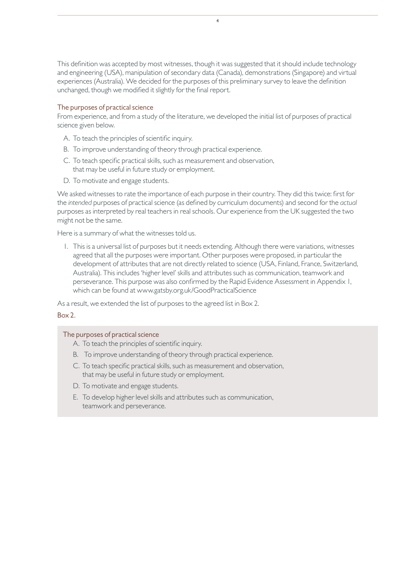This definition was accepted by most witnesses, though it was suggested that it should include technology and engineering (USA), manipulation of secondary data (Canada), demonstrations (Singapore) and virtual experiences (Australia). We decided for the purposes of this preliminary survey to leave the definition unchanged, though we modified it slightly for the final report.

4

## The purposes of practical science

From experience, and from a study of the literature, we developed the initial list of purposes of practical science given below.

- A. To teach the principles of scientific inquiry.
- B. To improve understanding of theory through practical experience.
- C. To teach specific practical skills, such as measurement and observation, that may be useful in future study or employment.
- D. To motivate and engage students.

We asked witnesses to rate the importance of each purpose in their country. They did this twice: first for the *intended* purposes of practical science (as defined by curriculum documents) and second for the *actual* purposes as interpreted by real teachers in real schools. Our experience from the UK suggested the two might not be the same.

Here is a summary of what the witnesses told us.

1. This is a universal list of purposes but it needs extending. Although there were variations, witnesses agreed that all the purposes were important. Other purposes were proposed, in particular the development of attributes that are not directly related to science (USA, Finland, France, Switzerland, Australia). This includes 'higher level' skills and attributes such as communication, teamwork and perseverance. This purpose was also confirmed by the Rapid Evidence Assessment in Appendix 1, which can be found at www.gatsby.org.uk/GoodPracticalScience

As a result, we extended the list of purposes to the agreed list in Box 2.

## Box 2.

## The purposes of practical science

- A. To teach the principles of scientific inquiry.
- B. To improve understanding of theory through practical experience.
- C. To teach specific practical skills, such as measurement and observation, that may be useful in future study or employment.
- D. To motivate and engage students.
- E. To develop higher level skills and attributes such as communication, teamwork and perseverance.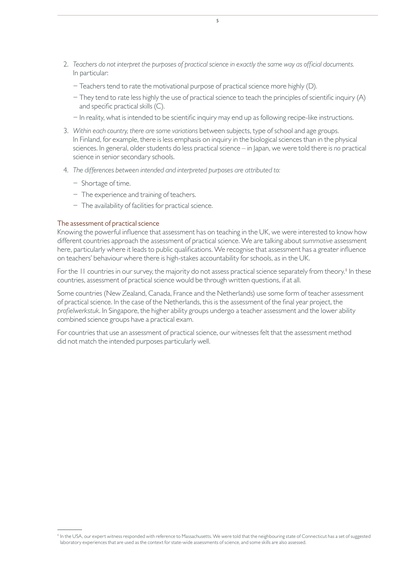- 2. *Teachers do not interpret the purposes of practical science in exactly the same way as official documents.*  In particular:
	- − Teachers tend to rate the motivational purpose of practical science more highly (D).
	- − They tend to rate less highly the use of practical science to teach the principles of scientific inquiry (A) and specific practical skills (C).
	- − In reality, what is intended to be scientific inquiry may end up as following recipe-like instructions.
- 3. *Within each country, there are some variations* between subjects, type of school and age groups. In Finland, for example, there is less emphasis on inquiry in the biological sciences than in the physical sciences. In general, older students do less practical science – in Japan, we were told there is *no* practical science in senior secondary schools.
- 4. *The differences between intended and interpreted purposes are attributed to:*
	- − Shortage of time.
	- − The experience and training of teachers.
	- − The availability of facilities for practical science.

## The assessment of practical science

Knowing the powerful influence that assessment has on teaching in the UK, we were interested to know how different countries approach the assessment of practical science. We are talking about *summative* assessment here, particularly where it leads to public qualifications. We recognise that assessment has a greater influence on teachers' behaviour where there is high-stakes accountability for schools, as in the UK.

For the II countries in our survey, the majority do not assess practical science separately from theory.<sup>1</sup> In these countries, assessment of practical science would be through written questions, if at all.

Some countries (New Zealand, Canada, France and the Netherlands) use some form of teacher assessment of practical science. In the case of the Netherlands, this is the assessment of the final year project, the *profielwerkstuk*. In Singapore, the higher ability groups undergo a teacher assessment and the lower ability combined science groups have a practical exam.

For countries that use an assessment of practical science, our witnesses felt that the assessment method did not match the intended purposes particularly well.

<sup>&</sup>lt;sup>1</sup> In the USA, our expert witness responded with reference to Massachusetts. We were told that the neighbouring state of Connecticut has a set of suggested laboratory experiences that are used as the context for state-wide assessments of science, and some skills are also assessed.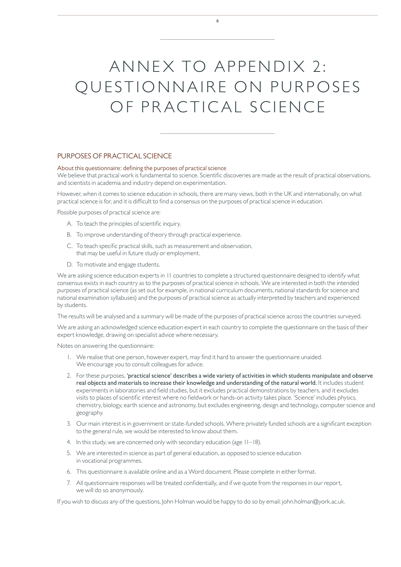# ANNEX TO APPENDIX 2: QUESTIONNAIRE ON PURPOSES OF PRACTICAL SCIENCE

6

## PURPOSES OF PRACTICAL SCIENCE

#### About this questionnaire: defining the purposes of practical science

We believe that practical work is fundamental to science. Scientific discoveries are made as the result of practical observations, and scientists in academia and industry depend on experimentation.

However, when it comes to science education in schools, there are many views, both in the UK and internationally, on what practical science is for, and it is difficult to find a consensus on the purposes of practical science in education.

Possible purposes of practical science are:

- A. To teach the principles of scientific inquiry.
- B. To improve understanding of theory through practical experience.
- C. To teach specific practical skills, such as measurement and observation, that may be useful in future study or employment.
- D. To motivate and engage students.

We are asking science education experts in 11 countries to complete a structured questionnaire designed to identify what consensus exists in each country as to the purposes of practical science in schools. We are interested in both the intended purposes of practical science (as set out for example, in national curriculum documents, national standards for science and national examination syllabuses) and the purposes of practical science as actually interpreted by teachers and experienced by students.

The results will be analysed and a summary will be made of the purposes of practical science across the countries surveyed.

We are asking an acknowledged science education expert in each country to complete the questionnaire on the basis of their expert knowledge, drawing on specialist advice where necessary.

Notes on answering the questionnaire:

- 1. We realise that one person, however expert, may find it hard to answer the questionnaire unaided. We encourage you to consult colleagues for advice.
- 2. For these purposes, 'practical science' describes a wide variety of activities in which students manipulate and observe real objects and materials to increase their knowledge and understanding of the natural world. It includes student experiments in laboratories and field studies, but it excludes practical demonstrations by teachers, and it excludes visits to places of scientific interest where no fieldwork or hands-on activity takes place. 'Science' includes physics, chemistry, biology, earth science and astronomy, but excludes engineering, design and technology, computer science and geography.
- 3. Our main interest is in government or state-funded schools. Where privately funded schools are a significant exception to the general rule, we would be interested to know about them.
- 4. In this study, we are concerned only with secondary education (age 11–18).
- 5. We are interested in science as part of general education, as opposed to science education in vocational programmes.
- 6. This questionnaire is available online and as a Word document. Please complete in either format.
- 7. All questionnaire responses will be treated confidentially, and if we quote from the responses in our report, we will do so anonymously.

If you wish to discuss any of the questions, John Holman would be happy to do so by email: john.holman@york.ac.uk.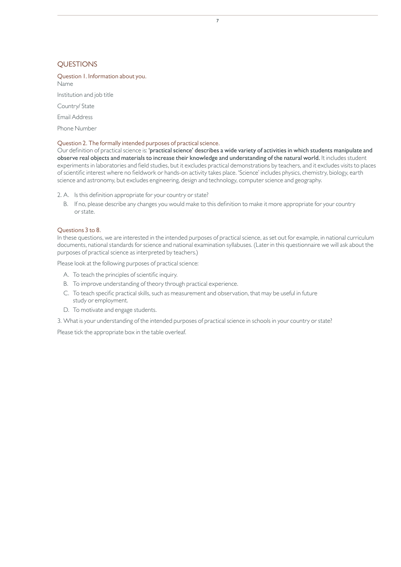### **OUESTIONS**

Question 1. Information about you. Name

Institution and job title

Country/ State

Email Address

Phone Number

#### Question 2. The formally intended purposes of practical science.

Our definition of practical science is: 'practical science' describes a wide variety of activities in which students manipulate and observe real objects and materials to increase their knowledge and understanding of the natural world. It includes student experiments in laboratories and field studies, but it excludes practical demonstrations by teachers, and it excludes visits to places of scientific interest where no fieldwork or hands-on activity takes place. 'Science' includes physics, chemistry, biology, earth science and astronomy, but excludes engineering, design and technology, computer science and geography.

2. A. Is this definition appropriate for your country or state?

B. If no, please describe any changes you would make to this definition to make it more appropriate for your country or state.

#### Questions 3 to 8.

In these questions, we are interested in the intended purposes of practical science, as set out for example, in national curriculum documents, national standards for science and national examination syllabuses. (Later in this questionnaire we will ask about the purposes of practical science as interpreted by teachers.)

Please look at the following purposes of practical science:

- A. To teach the principles of scientific inquiry.
- B. To improve understanding of theory through practical experience.
- C. To teach specific practical skills, such as measurement and observation, that may be useful in future study or employment.
- D. To motivate and engage students.
- 3. What is your understanding of the intended purposes of practical science in schools in your country or state?

Please tick the appropriate box in the table overleaf.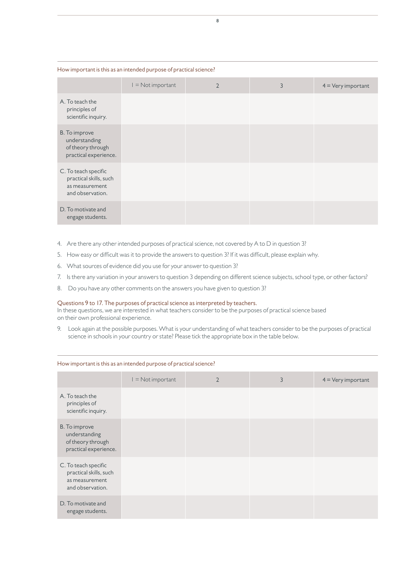#### How important is this as an intended purpose of practical science?

|                                                                                      | $I = Not important$ | $\overline{2}$ | 3 | $4 = \text{Very important}$ |
|--------------------------------------------------------------------------------------|---------------------|----------------|---|-----------------------------|
| A. To teach the<br>principles of<br>scientific inquiry.                              |                     |                |   |                             |
| B. To improve<br>understanding<br>of theory through<br>practical experience.         |                     |                |   |                             |
| C. To teach specific<br>practical skills, such<br>as measurement<br>and observation. |                     |                |   |                             |
| D. To motivate and<br>engage students.                                               |                     |                |   |                             |

- 4. Are there any other intended purposes of practical science, not covered by A to D in question 3?
- 5. How easy or difficult was it to provide the answers to question 3? If it was difficult, please explain why.
- 6. What sources of evidence did you use for your answer to question 3?
- 7. Is there any variation in your answers to question 3 depending on different science subjects, school type, or other factors?
- 8. Do you have any other comments on the answers you have given to question 3?

#### Questions 9 to 17. The purposes of practical science as interpreted by teachers.

In these questions, we are interested in what teachers consider to be the purposes of practical science based on their own professional experience.

9. Look again at the possible purposes. What is your understanding of what teachers consider to be the purposes of practical science in schools in your country or state? Please tick the appropriate box in the table below.

|                                                                                      | $I = Not important$ | $\overline{2}$ | 3 | $4 = \text{Very important}$ |
|--------------------------------------------------------------------------------------|---------------------|----------------|---|-----------------------------|
| A. To teach the<br>principles of<br>scientific inquiry.                              |                     |                |   |                             |
| B. To improve<br>understanding<br>of theory through<br>practical experience.         |                     |                |   |                             |
| C. To teach specific<br>practical skills, such<br>as measurement<br>and observation. |                     |                |   |                             |
| D. To motivate and<br>engage students.                                               |                     |                |   |                             |

#### How important is this as an intended purpose of practical science?